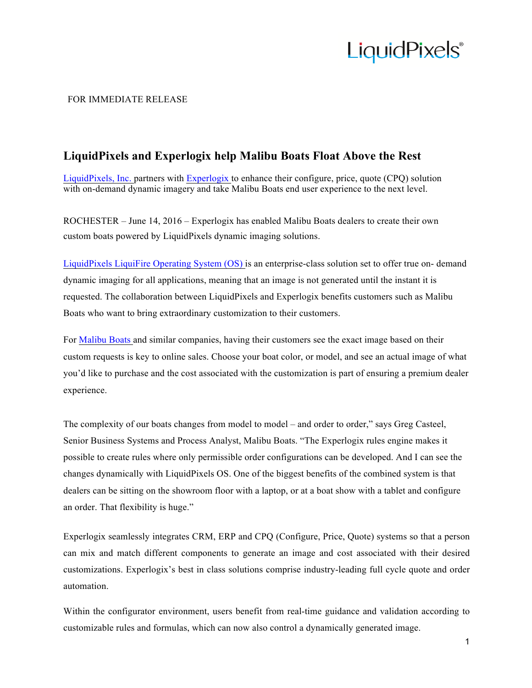## **LiquidPixels**®

### FOR IMMEDIATE RELEASE

### **LiquidPixels and Experlogix help Malibu Boats Float Above the Rest**

LiquidPixels, Inc. partners with Experlogix to enhance their configure, price, quote (CPQ) solution with on-demand dynamic imagery and take Malibu Boats end user experience to the next level.

ROCHESTER – June 14, 2016 – Experlogix has enabled Malibu Boats dealers to create their own custom boats powered by LiquidPixels dynamic imaging solutions.

LiquidPixels LiquiFire Operating System (OS) is an enterprise-class solution set to offer true on- demand dynamic imaging for all applications, meaning that an image is not generated until the instant it is requested. The collaboration between LiquidPixels and Experlogix benefits customers such as Malibu Boats who want to bring extraordinary customization to their customers.

For Malibu Boats and similar companies, having their customers see the exact image based on their custom requests is key to online sales. Choose your boat color, or model, and see an actual image of what you'd like to purchase and the cost associated with the customization is part of ensuring a premium dealer experience.

The complexity of our boats changes from model to model – and order to order," says Greg Casteel, Senior Business Systems and Process Analyst, Malibu Boats. "The Experlogix rules engine makes it possible to create rules where only permissible order configurations can be developed. And I can see the changes dynamically with LiquidPixels OS. One of the biggest benefits of the combined system is that dealers can be sitting on the showroom floor with a laptop, or at a boat show with a tablet and configure an order. That flexibility is huge."

Experlogix seamlessly integrates CRM, ERP and CPQ (Configure, Price, Quote) systems so that a person can mix and match different components to generate an image and cost associated with their desired customizations. Experlogix's best in class solutions comprise industry-leading full cycle quote and order automation.

Within the configurator environment, users benefit from real-time guidance and validation according to customizable rules and formulas, which can now also control a dynamically generated image.